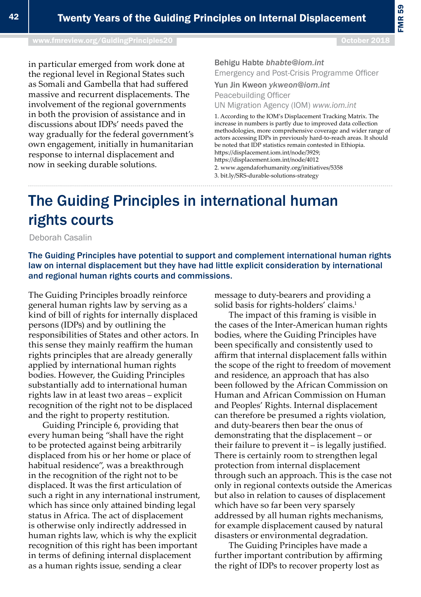## The Guiding Principles in international human rights courts

Deborah Casalin

The Guiding Principles have potential to support and complement international human rights law on internal displacement but they have had little explicit consideration by international and regional human rights courts and commissions.

The Guiding Principles broadly reinforce general human rights law by serving as a kind of bill of rights for internally displaced persons (IDPs) and by outlining the responsibilities of States and other actors. In this sense they mainly reaffirm the human rights principles that are already generally applied by international human rights bodies. However, the Guiding Principles substantially add to international human rights law in at least two areas – explicit recognition of the right not to be displaced and the right to property restitution.

Guiding Principle 6, providing that every human being "shall have the right to be protected against being arbitrarily displaced from his or her home or place of habitual residence", was a breakthrough in the recognition of the right not to be displaced. It was the first articulation of such a right in any international instrument, which has since only attained binding legal status in Africa. The act of displacement is otherwise only indirectly addressed in human rights law, which is why the explicit recognition of this right has been important in terms of defining internal displacement as a human rights issue, sending a clear

message to duty-bearers and providing a solid basis for rights-holders' claims.<sup>1</sup>

The impact of this framing is visible in the cases of the Inter-American human rights bodies, where the Guiding Principles have been specifically and consistently used to affirm that internal displacement falls within the scope of the right to freedom of movement and residence, an approach that has also been followed by the African Commission on Human and African Commission on Human and Peoples' Rights. Internal displacement can therefore be presumed a rights violation, and duty-bearers then bear the onus of demonstrating that the displacement – or their failure to prevent it – is legally justified. There is certainly room to strengthen legal protection from internal displacement through such an approach. This is the case not only in regional contexts outside the Americas but also in relation to causes of displacement which have so far been very sparsely addressed by all human rights mechanisms, for example displacement caused by natural disasters or environmental degradation.

The Guiding Principles have made a further important contribution by affirming the right of IDPs to recover property lost as